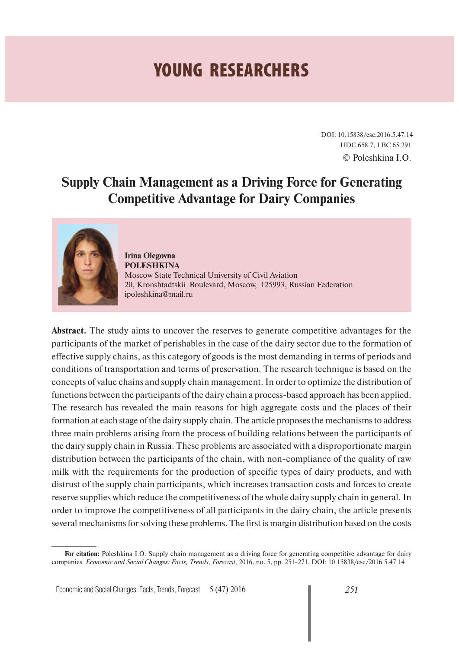# **YOUNG RESEARCHERS**

DOI: 10.15838/esc.2016.5.47.14 UDC 658.7, LBC 65.291 © Poleshkina I.О.

# **Supply Chain Management as a Driving Force for Generating Competitive Advantage for Dairy Companies**



#### **Irina Olegovna POLESHKINA** Moscow State Technical University of Civil Aviation 20, Kronshtadtskii Boulevard, Moscow, 125993, Russian Federation ipoleshkina@mail.ru

**Abstract.** The study aims to uncover the reserves to generate competitive advantages for the participants of the market of perishables in the case of the dairy sector due to the formation of effective supply chains, as this category of goods is the most demanding in terms of periods and conditions of transportation and terms of preservation. The research technique is based on the concepts of value chains and supply chain management. In order to optimize the distribution of functions between the participants of the dairy chain a process-based approach has been applied. The research has revealed the main reasons for high aggregate costs and the places of their formation at each stage of the dairy supply chain. The article proposes the mechanisms to address three main problems arising from the process of building relations between the participants of the dairy supply chain in Russia. These problems are associated with a disproportionate margin distribution between the participants of the chain, with non-compliance of the quality of raw milk with the requirements for the production of specific types of dairy products, and with distrust of the supply chain participants, which increases transaction costs and forces to create reserve supplies which reduce the competitiveness of the whole dairy supply chain in general. In order to improve the competitiveness of all participants in the dairy chain, the article presents several mechanisms for solving these problems. The first is margin distribution based on the costs

**For citation:** Poleshkina I.О. Supply chain management as a driving force for generating competitive advantage for dairy companies. *Economic and Social Changes: Facts, Trends, Forecast*, 2016, no. 5, pp. 251-271. DOI: 10.15838/esc/2016.5.47.14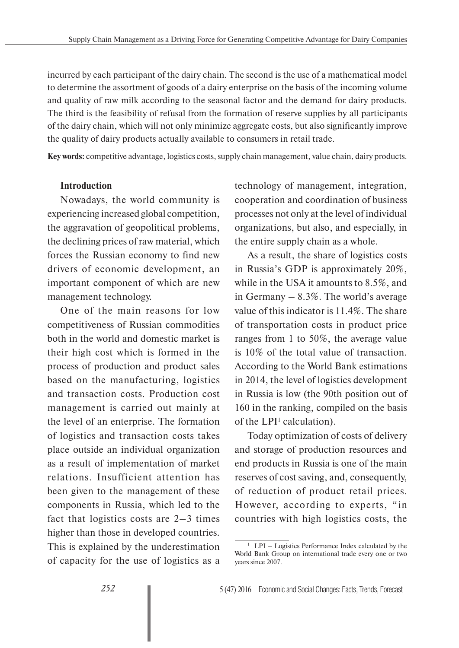incurred by each participant of the dairy chain. The second is the use of a mathematical model to determine the assortment of goods of a dairy enterprise on the basis of the incoming volume and quality of raw milk according to the seasonal factor and the demand for dairy products. The third is the feasibility of refusal from the formation of reserve supplies by all participants of the dairy chain, which will not only minimize aggregate costs, but also significantly improve the quality of dairy products actually available to consumers in retail trade.

**Key words:** competitive advantage, logistics costs, supply chain management, value chain, dairy products.

### **Introduction**

Nowadays, the world community is experiencing increased global competition, the aggravation of geopolitical problems, the declining prices of raw material, which forces the Russian economy to find new drivers of economic development, an important component of which are new management technology.

One of the main reasons for low competitiveness of Russian commodities both in the world and domestic market is their high cost which is formed in the process of production and product sales based on the manufacturing, logistics and transaction costs. Production cost management is carried out mainly at the level of an enterprise. The formation of logistics and transaction costs takes place outside an individual organization as a result of implementation of market relations. Insufficient attention has been given to the management of these components in Russia, which led to the fact that logistics costs are 2–3 times higher than those in developed countries. This is explained by the underestimation of capacity for the use of logistics as a

technology of management, integration, cooperation and coordination of business processes not only at the level of individual organizations, but also, and especially, in the entire supply chain as a whole.

As a result, the share of logistics costs in Russia's GDP is approximately 20%, while in the USA it amounts to 8.5%, and in Germany – 8.3%. The world's average value of this indicator is 11.4%. The share of transportation costs in product price ranges from 1 to 50%, the average value is 10% of the total value of transaction. According to the World Bank estimations in 2014, the level of logistics development in Russia is low (the 90th position out of 160 in the ranking, compiled on the basis of the  $LPI<sup>1</sup>$  calculation).

Today optimization of costs of delivery and storage of production resources and end products in Russia is one of the main reserves of cost saving, and, consequently, of reduction of product retail prices. However, according to experts, "in countries with high logistics costs, the

<sup>&</sup>lt;sup>1</sup> LPI – Logistics Performance Index calculated by the World Bank Group on international trade every one or two years since 2007.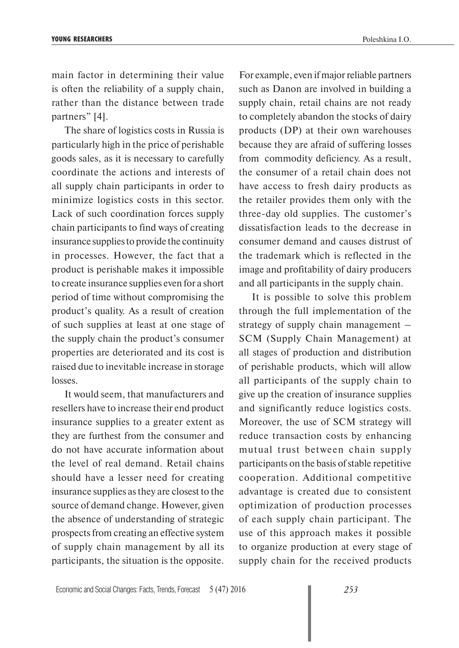main factor in determining their value is often the reliability of a supply chain, rather than the distance between trade partners" [4].

The share of logistics costs in Russia is particularly high in the price of perishable goods sales, as it is necessary to carefully coordinate the actions and interests of all supply chain participants in order to minimize logistics costs in this sector. Lack of such coordination forces supply chain participants to find ways of creating insurance supplies to provide the continuity in processes. However, the fact that a product is perishable makes it impossible to create insurance supplies even for a short period of time without compromising the product's quality. As a result of creation of such supplies at least at one stage of the supply chain the product's consumer properties are deteriorated and its cost is raised due to inevitable increase in storage losses.

It would seem, that manufacturers and resellers have to increase their end product insurance supplies to a greater extent as they are furthest from the consumer and do not have accurate information about the level of real demand. Retail chains should have a lesser need for creating insurance supplies as they are closest to the source of demand change. However, given the absence of understanding of strategic prospects from creating an effective system of supply chain management by all its participants, the situation is the opposite.

For example, even if major reliable partners such as Danon are involved in building a supply chain, retail chains are not ready to completely abandon the stocks of dairy products (DP) at their own warehouses because they are afraid of suffering losses from commodity deficiency. As a result, the consumer of a retail chain does not have access to fresh dairy products as the retailer provides them only with the three-day old supplies. The customer's dissatisfaction leads to the decrease in consumer demand and causes distrust of the trademark which is reflected in the image and profitability of dairy producers and all participants in the supply chain.

It is possible to solve this problem through the full implementation of the strategy of supply chain management – SCM (Supply Chain Management) at all stages of production and distribution of perishable products, which will allow all participants of the supply chain to give up the creation of insurance supplies and significantly reduce logistics costs. Moreover, the use of SCM strategy will reduce transaction costs by enhancing mutual trust between chain supply participants on the basis of stable repetitive cooperation. Additional competitive advantage is created due to consistent optimization of production processes of each supply chain participant. The use of this approach makes it possible to organize production at every stage of supply chain for the received products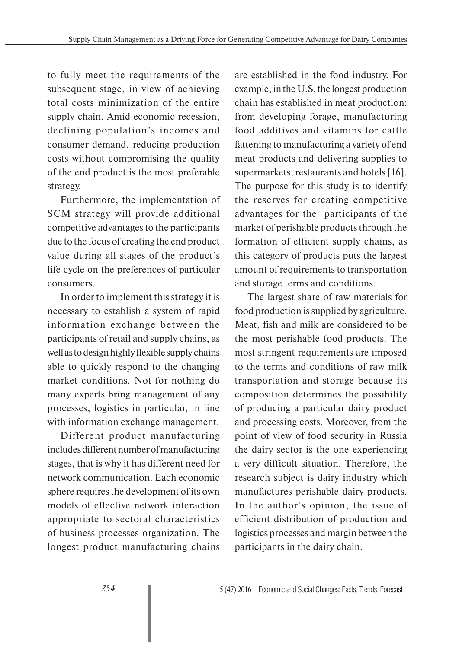to fully meet the requirements of the subsequent stage, in view of achieving total costs minimization of the entire supply chain. Amid economic recession, declining population's incomes and consumer demand, reducing production costs without compromising the quality of the end product is the most preferable strategy.

Furthermore, the implementation of SCM strategy will provide additional competitive advantages to the participants due to the focus of creating the end product value during all stages of the product's life cycle on the preferences of particular consumers.

In order to implement this strategy it is necessary to establish a system of rapid information exchange between the participants of retail and supply chains, as well as to design highly flexible supply chains able to quickly respond to the changing market conditions. Not for nothing do many experts bring management of any processes, logistics in particular, in line with information exchange management.

Different product manufacturing includes different number of manufacturing stages, that is why it has different need for network communication. Each economic sphere requires the development of its own models of effective network interaction appropriate to sectoral characteristics of business processes organization. The longest product manufacturing chains

are established in the food industry. For example, in the U.S. the longest production chain has established in meat production: from developing forage, manufacturing food additives and vitamins for cattle fattening to manufacturing a variety of end meat products and delivering supplies to supermarkets, restaurants and hotels [16]. The purpose for this study is to identify the reserves for creating competitive advantages for the participants of the market of perishable products through the formation of efficient supply chains, as this category of products puts the largest amount of requirements to transportation and storage terms and conditions.

The largest share of raw materials for food production is supplied by agriculture. Meat, fish and milk are considered to be the most perishable food products. The most stringent requirements are imposed to the terms and conditions of raw milk transportation and storage because its composition determines the possibility of producing a particular dairy product and processing costs. Moreover, from the point of view of food security in Russia the dairy sector is the one experiencing a very difficult situation. Therefore, the research subject is dairy industry which manufactures perishable dairy products. In the author's opinion, the issue of efficient distribution of production and logistics processes and margin between the participants in the dairy chain.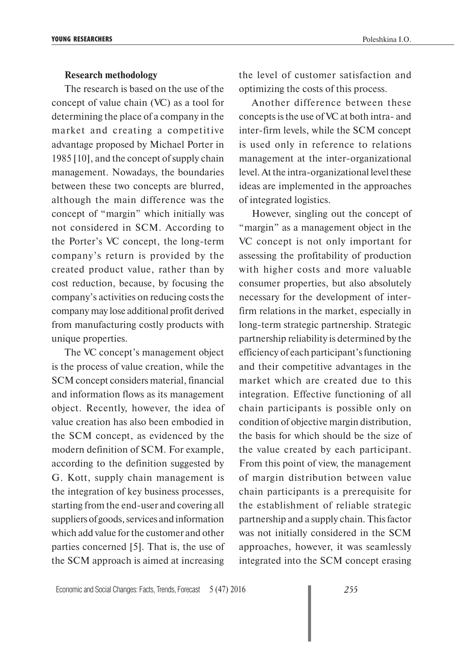#### **Research methodology**

The research is based on the use of the concept of value chain (VC) as a tool for determining the place of a company in the market and creating a competitive advantage proposed by Michael Porter in 1985 [10], and the concept of supply chain management. Nowadays, the boundaries between these two concepts are blurred, although the main difference was the concept of "margin" which initially was not considered in SCM. According to the Porter's VC concept, the long-term company's return is provided by the created product value, rather than by cost reduction, because, by focusing the company's activities on reducing costs the company may lose additional profit derived from manufacturing costly products with unique properties.

The VC concept's management object is the process of value creation, while the SCM concept considers material, financial and information flows as its management object. Recently, however, the idea of value creation has also been embodied in the SCM concept, as evidenced by the modern definition of SCM. For example, according to the definition suggested by G. Kott, supply chain management is the integration of key business processes, starting from the end-user and covering all suppliers of goods, services and information which add value for the customer and other parties concerned [5]. That is, the use of the SCM approach is aimed at increasing

the level of customer satisfaction and optimizing the costs of this process.

Another difference between these concepts is the use of VC at both intra- and inter-firm levels, while the SCM concept is used only in reference to relations management at the inter-organizational level. At the intra-organizational level these ideas are implemented in the approaches of integrated logistics.

However, singling out the concept of "margin" as a management object in the VC concept is not only important for assessing the profitability of production with higher costs and more valuable consumer properties, but also absolutely necessary for the development of interfirm relations in the market, especially in long-term strategic partnership. Strategic partnership reliability is determined by the efficiency of each participant's functioning and their competitive advantages in the market which are created due to this integration. Effective functioning of all chain participants is possible only on condition of objective margin distribution, the basis for which should be the size of the value created by each participant. From this point of view, the management of margin distribution between value chain participants is a prerequisite for the establishment of reliable strategic partnership and a supply chain. This factor was not initially considered in the SCM approaches, however, it was seamlessly integrated into the SCM concept erasing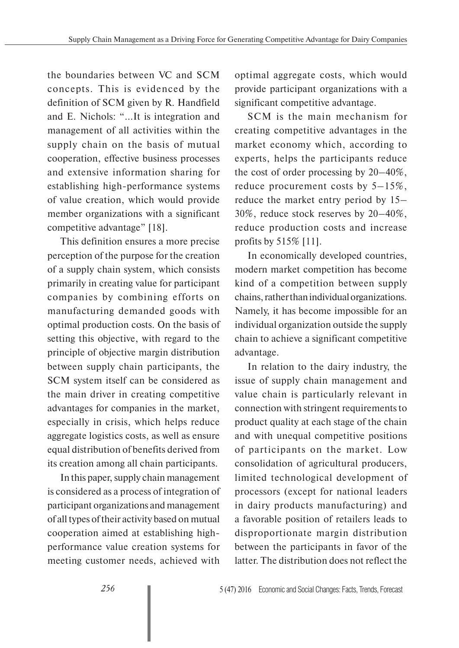the boundaries between VC and SCM concepts. This is evidenced by the definition of SCM given by R. Handfield and E. Nichols: "...It is integration and management of all activities within the supply chain on the basis of mutual cooperation, effective business processes and extensive information sharing for establishing high-performance systems of value creation, which would provide member organizations with a significant competitive advantage" [18].

This definition ensures a more precise perception of the purpose for the creation of a supply chain system, which consists primarily in creating value for participant companies by combining efforts on manufacturing demanded goods with optimal production costs. On the basis of setting this objective, with regard to the principle of objective margin distribution between supply chain participants, the SCM system itself can be considered as the main driver in creating competitive advantages for companies in the market, especially in crisis, which helps reduce aggregate logistics costs, as well as ensure equal distribution of benefits derived from its creation among all chain participants.

In this paper, supply chain management is considered as a process of integration of participant organizations and management of all types of their activity based on mutual cooperation aimed at establishing highperformance value creation systems for meeting customer needs, achieved with

optimal aggregate costs, which would provide participant organizations with a significant competitive advantage.

SCM is the main mechanism for creating competitive advantages in the market economy which, according to experts, helps the participants reduce the cost of order processing by 20–40%, reduce procurement costs by 5–15%, reduce the market entry period by 15– 30%, reduce stock reserves by 20–40%, reduce production costs and increase profits by 515% [11].

In economically developed countries, modern market competition has become kind of a competition between supply chains, rather than individual organizations. Namely, it has become impossible for an individual organization outside the supply chain to achieve a significant competitive advantage.

In relation to the dairy industry, the issue of supply chain management and value chain is particularly relevant in connection with stringent requirements to product quality at each stage of the chain and with unequal competitive positions of participants on the market. Low consolidation of agricultural producers, limited technological development of processors (except for national leaders in dairy products manufacturing) and a favorable position of retailers leads to disproportionate margin distribution between the participants in favor of the latter. The distribution does not reflect the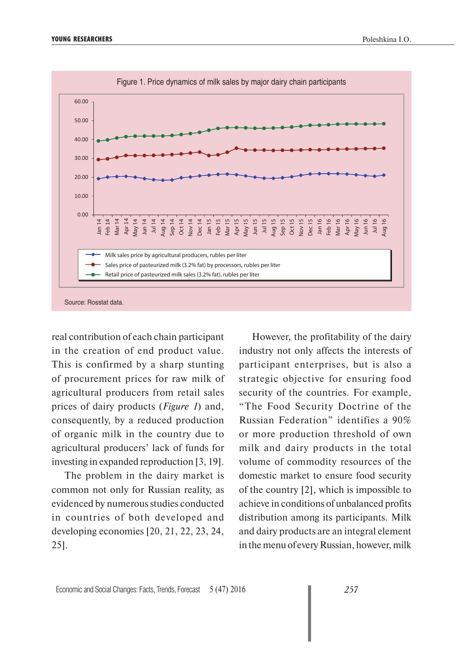

real contribution of each chain participant in the creation of end product value. This is confirmed by a sharp stunting of procurement prices for raw milk of agricultural producers from retail sales prices of dairy products (*Figure 1*) and, consequently, by a reduced production of organic milk in the country due to agricultural producers' lack of funds for investing in expanded reproduction [3, 19].

The problem in the dairy market is common not only for Russian reality, as evidenced by numerous studies conducted in countries of both developed and developing economies [20, 21, 22, 23, 24, 25].

However, the profitability of the dairy industry not only affects the interests of participant enterprises, but is also a strategic objective for ensuring food security of the countries. For example, "The Food Security Doctrine of the Russian Federation" identifies a 90% or more production threshold of own milk and dairy products in the total volume of commodity resources of the domestic market to ensure food security of the country [2], which is impossible to achieve in conditions of unbalanced profits distribution among its participants. Milk and dairy products are an integral element in the menu of every Russian, however, milk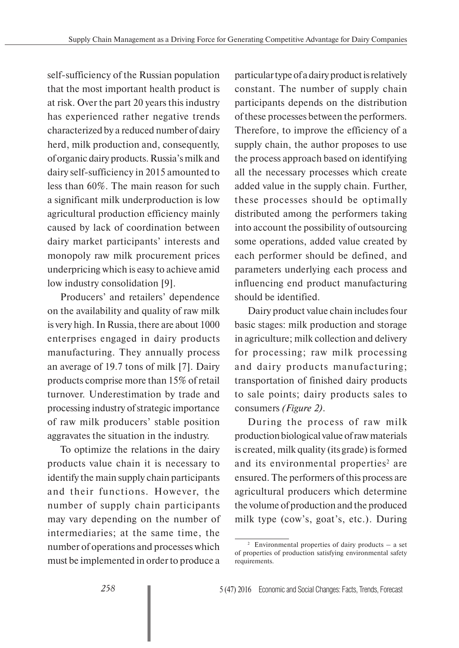self-sufficiency of the Russian population that the most important health product is at risk. Over the part 20 years this industry has experienced rather negative trends characterized by a reduced number of dairy herd, milk production and, consequently, of organic dairy products. Russia's milk and dairy self-sufficiency in 2015 amounted to less than 60%. The main reason for such a significant milk underproduction is low agricultural production efficiency mainly caused by lack of coordination between dairy market participants' interests and monopoly raw milk procurement prices underpricing which is easy to achieve amid low industry consolidation [9].

Producers' and retailers' dependence on the availability and quality of raw milk is very high. In Russia, there are about 1000 enterprises engaged in dairy products manufacturing. They annually process an average of 19.7 tons of milk [7]. Dairy products comprise more than 15% of retail turnover. Underestimation by trade and processing industry of strategic importance of raw milk producers' stable position aggravates the situation in the industry.

To optimize the relations in the dairy products value chain it is necessary to identify the main supply chain participants and their functions. However, the number of supply chain participants may vary depending on the number of intermediaries; at the same time, the number of operations and processes which must be implemented in order to produce a

particular type of a dairy product is relatively constant. The number of supply chain participants depends on the distribution of these processes between the performers. Therefore, to improve the efficiency of a supply chain, the author proposes to use the process approach based on identifying all the necessary processes which create added value in the supply chain. Further, these processes should be optimally distributed among the performers taking into account the possibility of outsourcing some operations, added value created by each performer should be defined, and parameters underlying each process and influencing end product manufacturing should be identified.

Dairy product value chain includes four basic stages: milk production and storage in agriculture; milk collection and delivery for processing; raw milk processing and dairy products manufacturing; transportation of finished dairy products to sale points; dairy products sales to consumers *(Figure 2)*.

During the process of raw milk production biological value of raw materials is created, milk quality (its grade) is formed and its environmental properties<sup>2</sup> are ensured. The performers of this process are agricultural producers which determine the volume of production and the produced milk type (cow's, goat's, etc.). During

<sup>&</sup>lt;sup>2</sup> Environmental properties of dairy products  $-$  a set of properties of production satisfying environmental safety requirements.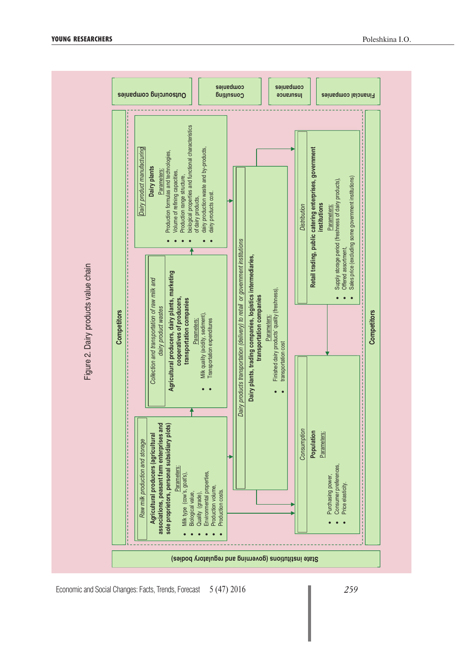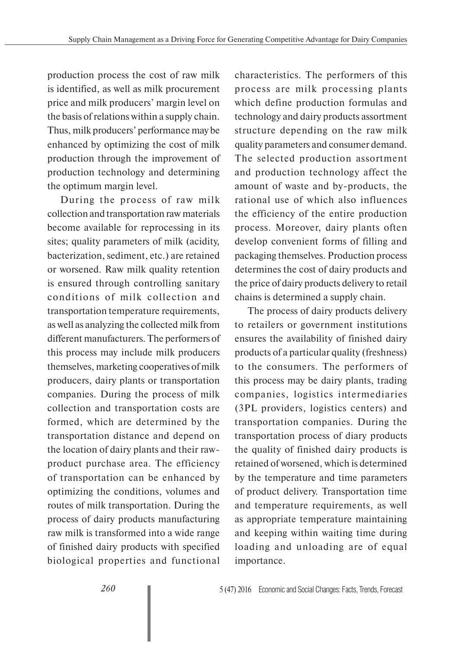production process the cost of raw milk is identified, as well as milk procurement price and milk producers' margin level on the basis of relations within a supply chain. Thus, milk producers' performance may be enhanced by optimizing the cost of milk production through the improvement of production technology and determining the optimum margin level.

During the process of raw milk collection and transportation raw materials become available for reprocessing in its sites; quality parameters of milk (acidity, bacterization, sediment, etc.) are retained or worsened. Raw milk quality retention is ensured through controlling sanitary conditions of milk collection and transportation temperature requirements, as well as analyzing the collected milk from different manufacturers. The performers of this process may include milk producers themselves, marketing cooperatives of milk producers, dairy plants or transportation companies. During the process of milk collection and transportation costs are formed, which are determined by the transportation distance and depend on the location of dairy plants and their rawproduct purchase area. The efficiency of transportation can be enhanced by optimizing the conditions, volumes and routes of milk transportation. During the process of dairy products manufacturing raw milk is transformed into a wide range of finished dairy products with specified biological properties and functional

characteristics. The performers of this process are milk processing plants which define production formulas and technology and dairy products assortment structure depending on the raw milk quality parameters and consumer demand. The selected production assortment and production technology affect the amount of waste and by-products, the rational use of which also influences the efficiency of the entire production process. Moreover, dairy plants often develop convenient forms of filling and packaging themselves. Production process determines the cost of dairy products and the price of dairy products delivery to retail chains is determined a supply chain.

The process of dairy products delivery to retailers or government institutions ensures the availability of finished dairy products of a particular quality (freshness) to the consumers. The performers of this process may be dairy plants, trading companies, logistics intermediaries (3PL providers, logistics centers) and transportation companies. During the transportation process of diary products the quality of finished dairy products is retained of worsened, which is determined by the temperature and time parameters of product delivery. Transportation time and temperature requirements, as well as appropriate temperature maintaining and keeping within waiting time during loading and unloading are of equal importance.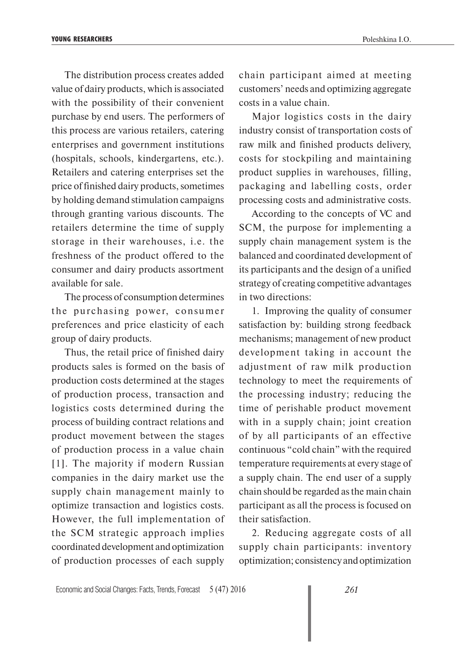The distribution process creates added value of dairy products, which is associated with the possibility of their convenient purchase by end users. The performers of this process are various retailers, catering enterprises and government institutions (hospitals, schools, kindergartens, etc.). Retailers and catering enterprises set the price of finished dairy products, sometimes by holding demand stimulation campaigns through granting various discounts. The retailers determine the time of supply storage in their warehouses, i.e. the freshness of the product offered to the consumer and dairy products assortment available for sale.

The process of consumption determines the purchasing power, consumer preferences and price elasticity of each group of dairy products.

Thus, the retail price of finished dairy products sales is formed on the basis of production costs determined at the stages of production process, transaction and logistics costs determined during the process of building contract relations and product movement between the stages of production process in a value chain [1]. The majority if modern Russian companies in the dairy market use the supply chain management mainly to optimize transaction and logistics costs. However, the full implementation of the SCM strategic approach implies coordinated development and optimization of production processes of each supply

chain participant aimed at meeting customers' needs and optimizing aggregate costs in a value chain.

Major logistics costs in the dairy industry consist of transportation costs of raw milk and finished products delivery, costs for stockpiling and maintaining product supplies in warehouses, filling, packaging and labelling costs, order processing costs and administrative costs.

According to the concepts of VC and SCM, the purpose for implementing a supply chain management system is the balanced and coordinated development of its participants and the design of a unified strategy of creating competitive advantages in two directions:

1. Improving the quality of consumer satisfaction by: building strong feedback mechanisms; management of new product development taking in account the adjustment of raw milk production technology to meet the requirements of the processing industry; reducing the time of perishable product movement with in a supply chain; joint creation of by all participants of an effective continuous "cold chain" with the required temperature requirements at every stage of a supply chain. The end user of a supply chain should be regarded as the main chain participant as all the process is focused on their satisfaction.

2. Reducing aggregate costs of all supply chain participants: inventory optimization; consistency and optimization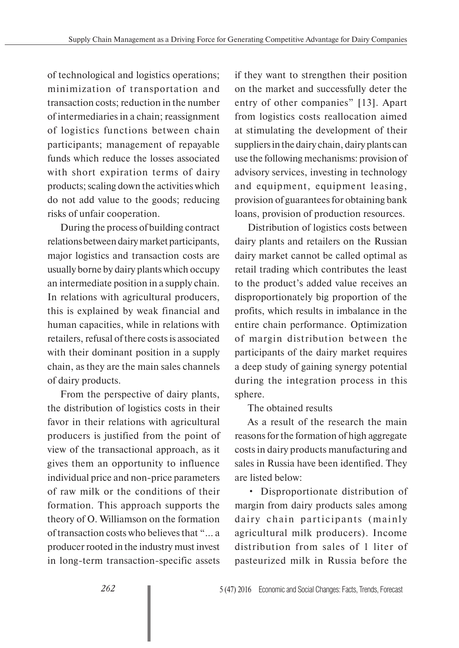of technological and logistics operations; minimization of transportation and transaction costs; reduction in the number of intermediaries in a chain; reassignment of logistics functions between chain participants; management of repayable funds which reduce the losses associated with short expiration terms of dairy products; scaling down the activities which do not add value to the goods; reducing risks of unfair cooperation.

During the process of building contract relations between dairy market participants, major logistics and transaction costs are usually borne by dairy plants which occupy an intermediate position in a supply chain. In relations with agricultural producers, this is explained by weak financial and human capacities, while in relations with retailers, refusal of there costs is associated with their dominant position in a supply chain, as they are the main sales channels of dairy products.

From the perspective of dairy plants, the distribution of logistics costs in their favor in their relations with agricultural producers is justified from the point of view of the transactional approach, as it gives them an opportunity to influence individual price and non-price parameters of raw milk or the conditions of their formation. This approach supports the theory of O. Williamson on the formation of transaction costs who believes that "... a producer rooted in the industry must invest in long-term transaction-specific assets

if they want to strengthen their position on the market and successfully deter the entry of other companies" [13]. Apart from logistics costs reallocation aimed at stimulating the development of their suppliers in the dairy chain, dairy plants can use the following mechanisms: provision of advisory services, investing in technology and equipment, equipment leasing, provision of guarantees for obtaining bank loans, provision of production resources.

Distribution of logistics costs between dairy plants and retailers on the Russian dairy market cannot be called optimal as retail trading which contributes the least to the product's added value receives an disproportionately big proportion of the profits, which results in imbalance in the entire chain performance. Optimization of margin distribution between the participants of the dairy market requires a deep study of gaining synergy potential during the integration process in this sphere.

# The obtained results

As a result of the research the main reasons for the formation of high aggregate costs in dairy products manufacturing and sales in Russia have been identified. They are listed below:

• Disproportionate distribution of margin from dairy products sales among dairy chain participants (mainly agricultural milk producers). Income distribution from sales of 1 liter of pasteurized milk in Russia before the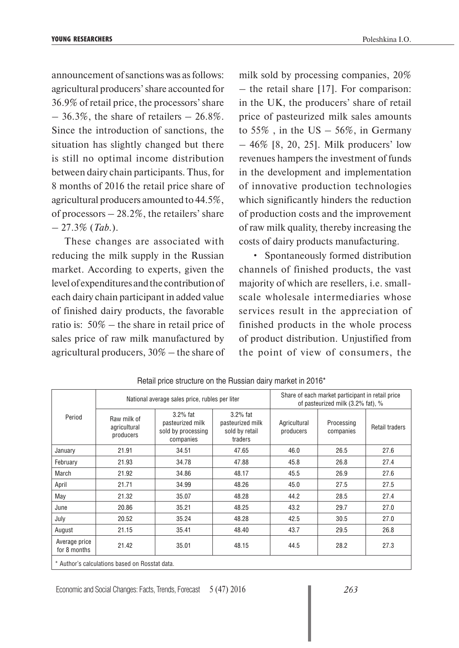announcement of sanctions was as follows: agricultural producers' share accounted for 36.9% of retail price, the processors' share  $-36.3\%$ , the share of retailers  $-26.8\%$ . Since the introduction of sanctions, the situation has slightly changed but there is still no optimal income distribution between dairy chain participants. Thus, for 8 months of 2016 the retail price share of agricultural producers amounted to 44.5%, of processors – 28.2%, the retailers' share – 27.3% (*Tab.*).

These changes are associated with reducing the milk supply in the Russian market. According to experts, given the level of expenditures and the contribution of each dairy chain participant in added value of finished dairy products, the favorable ratio is: 50% – the share in retail price of sales price of raw milk manufactured by agricultural producers, 30% – the share of milk sold by processing companies, 20% – the retail share [17]. For comparison: in the UK, the producers' share of retail price of pasteurized milk sales amounts to  $55\%$ , in the US –  $56\%$ , in Germany  $-46\%$  [8, 20, 25]. Milk producers' low revenues hampers the investment of funds in the development and implementation of innovative production technologies which significantly hinders the reduction of production costs and the improvement of raw milk quality, thereby increasing the costs of dairy products manufacturing.

• Spontaneously formed distribution channels of finished products, the vast majority of which are resellers, i.e. smallscale wholesale intermediaries whose services result in the appreciation of finished products in the whole process of product distribution. Unjustified from the point of view of consumers, the

| Period                                        | National average sales price, rubles per liter |                                                                    |                                                              | Share of each market participant in retail price<br>of pasteurized milk (3.2% fat), % |                         |                       |
|-----------------------------------------------|------------------------------------------------|--------------------------------------------------------------------|--------------------------------------------------------------|---------------------------------------------------------------------------------------|-------------------------|-----------------------|
|                                               | Raw milk of<br>agricultural<br>producers       | $3.2\%$ fat<br>pasteurized milk<br>sold by processing<br>companies | $3.2\%$ fat<br>pasteurized milk<br>sold by retail<br>traders | Agricultural<br>producers                                                             | Processing<br>companies | <b>Retail traders</b> |
| January                                       | 21.91                                          | 34.51                                                              | 47.65                                                        | 46.0                                                                                  | 26.5                    | 27.6                  |
| February                                      | 21.93                                          | 34.78                                                              | 47.88                                                        | 45.8                                                                                  | 26.8                    | 27.4                  |
| March                                         | 21.92                                          | 34.86                                                              | 48.17                                                        | 45.5                                                                                  | 26.9                    | 27.6                  |
| April                                         | 21.71                                          | 34.99                                                              | 48.26                                                        | 45.0                                                                                  | 27.5                    | 27.5                  |
| May                                           | 21.32                                          | 35.07                                                              | 48.28                                                        | 44.2                                                                                  | 28.5                    | 27.4                  |
| June                                          | 20.86                                          | 35.21                                                              | 48.25                                                        | 43.2                                                                                  | 29.7                    | 27.0                  |
| July                                          | 20.52                                          | 35.24                                                              | 48.28                                                        | 42.5                                                                                  | 30.5                    | 27.0                  |
| August                                        | 21.15                                          | 35.41                                                              | 48.40                                                        | 43.7                                                                                  | 29.5                    | 26.8                  |
| Average price<br>for 8 months                 | 21.42                                          | 35.01                                                              | 48.15                                                        | 44.5                                                                                  | 28.2                    | 27.3                  |
| * Author's calculations hased on Bosstat data |                                                |                                                                    |                                                              |                                                                                       |                         |                       |

Retail price structure on the Russian dairy market in 2016\*

\* Author's calculations based on Rosstat data.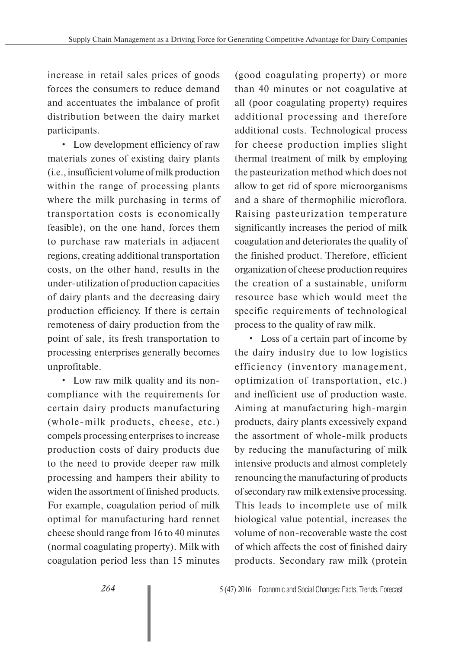increase in retail sales prices of goods forces the consumers to reduce demand and accentuates the imbalance of profit distribution between the dairy market participants.

• Low development efficiency of raw materials zones of existing dairy plants (i.e., insufficient volume of milk production within the range of processing plants where the milk purchasing in terms of transportation costs is economically feasible), on the one hand, forces them to purchase raw materials in adjacent regions, creating additional transportation costs, on the other hand, results in the under-utilization of production capacities of dairy plants and the decreasing dairy production efficiency. If there is certain remoteness of dairy production from the point of sale, its fresh transportation to processing enterprises generally becomes unprofitable.

• Low raw milk quality and its noncompliance with the requirements for certain dairy products manufacturing (whole-milk products, cheese, etc.) compels processing enterprises to increase production costs of dairy products due to the need to provide deeper raw milk processing and hampers their ability to widen the assortment of finished products. For example, coagulation period of milk optimal for manufacturing hard rennet cheese should range from 16 to 40 minutes (normal coagulating property). Milk with coagulation period less than 15 minutes

(good coagulating property) or more than 40 minutes or not coagulative at all (poor coagulating property) requires additional processing and therefore additional costs. Technological process for cheese production implies slight thermal treatment of milk by employing the pasteurization method which does not allow to get rid of spore microorganisms and a share of thermophilic microflora. Raising pasteurization temperature significantly increases the period of milk coagulation and deteriorates the quality of the finished product. Therefore, efficient organization of cheese production requires the creation of a sustainable, uniform resource base which would meet the specific requirements of technological process to the quality of raw milk.

• Loss of a certain part of income by the dairy industry due to low logistics efficiency (inventory management, optimization of transportation, etc.) and inefficient use of production waste. Aiming at manufacturing high-margin products, dairy plants excessively expand the assortment of whole-milk products by reducing the manufacturing of milk intensive products and almost completely renouncing the manufacturing of products of secondary raw milk extensive processing. This leads to incomplete use of milk biological value potential, increases the volume of non-recoverable waste the cost of which affects the cost of finished dairy products. Secondary raw milk (protein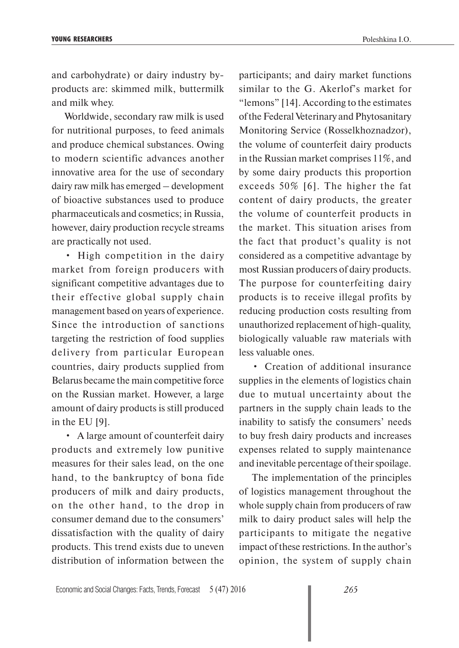and carbohydrate) or dairy industry byproducts are: skimmed milk, buttermilk and milk whey.

Worldwide, secondary raw milk is used for nutritional purposes, to feed animals and produce chemical substances. Owing to modern scientific advances another innovative area for the use of secondary dairy raw milk has emerged – development of bioactive substances used to produce pharmaceuticals and cosmetics; in Russia, however, dairy production recycle streams are practically not used.

• High competition in the dairy market from foreign producers with significant competitive advantages due to their effective global supply chain management based on years of experience. Since the introduction of sanctions targeting the restriction of food supplies delivery from particular European countries, dairy products supplied from Belarus became the main competitive force on the Russian market. However, a large amount of dairy products is still produced in the EU [9].

• A large amount of counterfeit dairy products and extremely low punitive measures for their sales lead, on the one hand, to the bankruptcy of bona fide producers of milk and dairy products, on the other hand, to the drop in consumer demand due to the consumers' dissatisfaction with the quality of dairy products. This trend exists due to uneven distribution of information between the

participants; and dairy market functions similar to the G. Akerlof's market for "lemons" [14]. According to the estimates of the Federal Veterinary and Phytosanitary Monitoring Service (Rosselkhoznadzor), the volume of counterfeit dairy products in the Russian market comprises 11%, and by some dairy products this proportion exceeds 50% [6]. The higher the fat content of dairy products, the greater the volume of counterfeit products in the market. This situation arises from the fact that product's quality is not considered as a competitive advantage by most Russian producers of dairy products. The purpose for counterfeiting dairy products is to receive illegal profits by reducing production costs resulting from unauthorized replacement of high-quality, biologically valuable raw materials with less valuable ones.

• Creation of additional insurance supplies in the elements of logistics chain due to mutual uncertainty about the partners in the supply chain leads to the inability to satisfy the consumers' needs to buy fresh dairy products and increases expenses related to supply maintenance and inevitable percentage of their spoilage.

The implementation of the principles of logistics management throughout the whole supply chain from producers of raw milk to dairy product sales will help the participants to mitigate the negative impact of these restrictions. In the author's opinion, the system of supply chain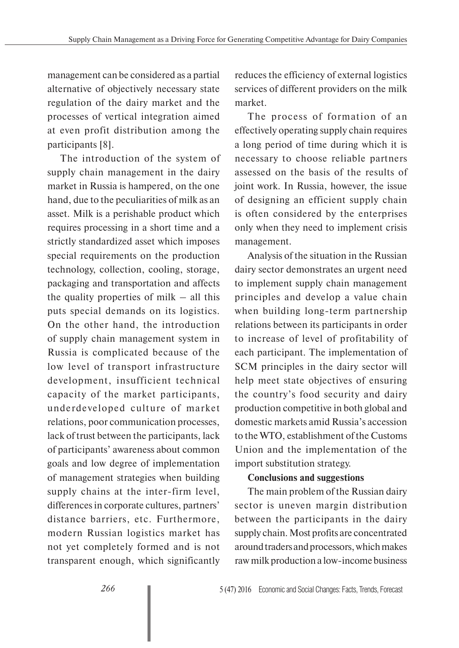management can be considered as a partial alternative of objectively necessary state regulation of the dairy market and the processes of vertical integration aimed at even profit distribution among the participants [8].

The introduction of the system of supply chain management in the dairy market in Russia is hampered, on the one hand, due to the peculiarities of milk as an asset. Milk is a perishable product which requires processing in a short time and a strictly standardized asset which imposes special requirements on the production technology, collection, cooling, storage, packaging and transportation and affects the quality properties of milk  $-$  all this puts special demands on its logistics. On the other hand, the introduction of supply chain management system in Russia is complicated because of the low level of transport infrastructure development, insufficient technical capacity of the market participants, underdeveloped culture of market relations, poor communication processes, lack of trust between the participants, lack of participants' awareness about common goals and low degree of implementation of management strategies when building supply chains at the inter-firm level, differences in corporate cultures, partners' distance barriers, etc. Furthermore, modern Russian logistics market has not yet completely formed and is not transparent enough, which significantly

reduces the efficiency of external logistics services of different providers on the milk market.

The process of formation of an effectively operating supply chain requires a long period of time during which it is necessary to choose reliable partners assessed on the basis of the results of joint work. In Russia, however, the issue of designing an efficient supply chain is often considered by the enterprises only when they need to implement crisis management.

Analysis of the situation in the Russian dairy sector demonstrates an urgent need to implement supply chain management principles and develop a value chain when building long-term partnership relations between its participants in order to increase of level of profitability of each participant. The implementation of SCM principles in the dairy sector will help meet state objectives of ensuring the country's food security and dairy production competitive in both global and domestic markets amid Russia's accession to the WTO, establishment of the Customs Union and the implementation of the import substitution strategy.

#### **Conclusions and suggestions**

The main problem of the Russian dairy sector is uneven margin distribution between the participants in the dairy supply chain. Most profits are concentrated around traders and processors, which makes raw milk production a low-income business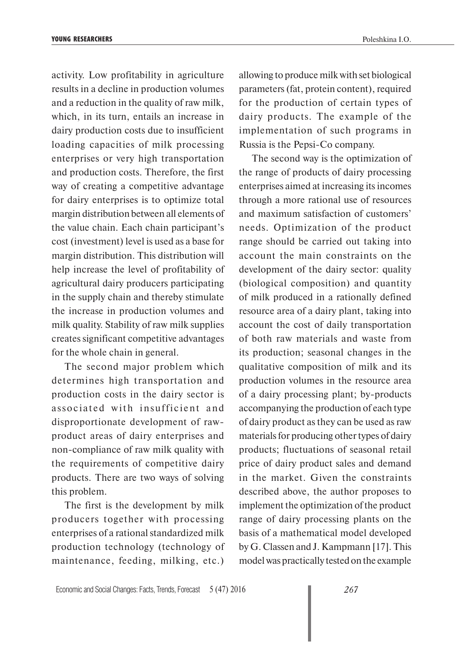activity. Low profitability in agriculture results in a decline in production volumes and a reduction in the quality of raw milk, which, in its turn, entails an increase in dairy production costs due to insufficient loading capacities of milk processing enterprises or very high transportation and production costs. Therefore, the first way of creating a competitive advantage for dairy enterprises is to optimize total margin distribution between all elements of the value chain. Each chain participant's cost (investment) level is used as a base for margin distribution. This distribution will help increase the level of profitability of agricultural dairy producers participating in the supply chain and thereby stimulate the increase in production volumes and milk quality. Stability of raw milk supplies creates significant competitive advantages for the whole chain in general.

The second major problem which determines high transportation and production costs in the dairy sector is associated with insufficient and disproportionate development of rawproduct areas of dairy enterprises and non-compliance of raw milk quality with the requirements of competitive dairy products. There are two ways of solving this problem.

The first is the development by milk producers together with processing enterprises of a rational standardized milk production technology (technology of maintenance, feeding, milking, etc.) allowing to produce milk with set biological parameters (fat, protein content), required for the production of certain types of dairy products. The example of the implementation of such programs in Russia is the Pepsi-Co company.

The second way is the optimization of the range of products of dairy processing enterprises aimed at increasing its incomes through a more rational use of resources and maximum satisfaction of customers' needs. Optimization of the product range should be carried out taking into account the main constraints on the development of the dairy sector: quality (biological composition) and quantity of milk produced in a rationally defined resource area of a dairy plant, taking into account the cost of daily transportation of both raw materials and waste from its production; seasonal changes in the qualitative composition of milk and its production volumes in the resource area of a dairy processing plant; by-products accompanying the production of each type of dairy product as they can be used as raw materials for producing other types of dairy products; fluctuations of seasonal retail price of dairy product sales and demand in the market. Given the constraints described above, the author proposes to implement the optimization of the product range of dairy processing plants on the basis of a mathematical model developed by G. Classen and J. Kampmann [17]. This model was practically tested on the example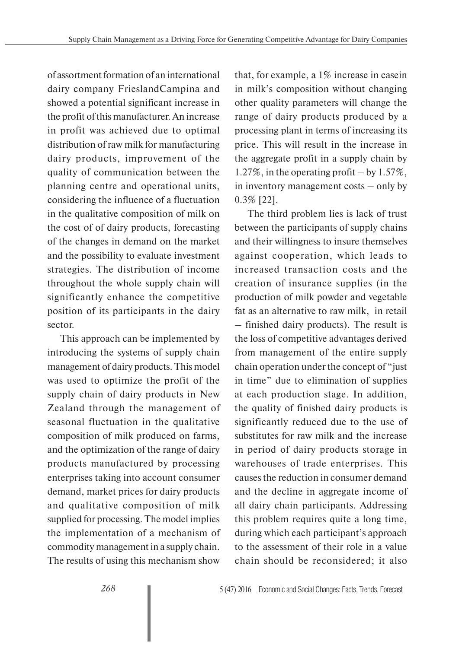of assortment formation of an international dairy company FrieslandCampina and showed a potential significant increase in the profit of this manufacturer. An increase in profit was achieved due to optimal distribution of raw milk for manufacturing dairy products, improvement of the quality of communication between the planning centre and operational units, considering the influence of a fluctuation in the qualitative composition of milk on the cost of of dairy products, forecasting of the changes in demand on the market and the possibility to evaluate investment strategies. The distribution of income throughout the whole supply chain will significantly enhance the competitive position of its participants in the dairy sector.

This approach can be implemented by introducing the systems of supply chain management of dairy products. This model was used to optimize the profit of the supply chain of dairy products in New Zealand through the management of seasonal fluctuation in the qualitative composition of milk produced on farms, and the optimization of the range of dairy products manufactured by processing enterprises taking into account consumer demand, market prices for dairy products and qualitative composition of milk supplied for processing. The model implies the implementation of a mechanism of commodity management in a supply chain. The results of using this mechanism show

that, for example, a 1% increase in casein in milk's composition without changing other quality parameters will change the range of dairy products produced by a processing plant in terms of increasing its price. This will result in the increase in the aggregate profit in a supply chain by 1.27%, in the operating profit – by 1.57%, in inventory management costs – only by 0.3% [22].

The third problem lies is lack of trust between the participants of supply chains and their willingness to insure themselves against cooperation, which leads to increased transaction costs and the creation of insurance supplies (in the production of milk powder and vegetable fat as an alternative to raw milk, in retail – finished dairy products). The result is the loss of competitive advantages derived from management of the entire supply chain operation under the concept of "just in time" due to elimination of supplies at each production stage. In addition, the quality of finished dairy products is significantly reduced due to the use of substitutes for raw milk and the increase in period of dairy products storage in warehouses of trade enterprises. This causes the reduction in consumer demand and the decline in aggregate income of all dairy chain participants. Addressing this problem requires quite a long time, during which each participant's approach to the assessment of their role in a value chain should be reconsidered; it also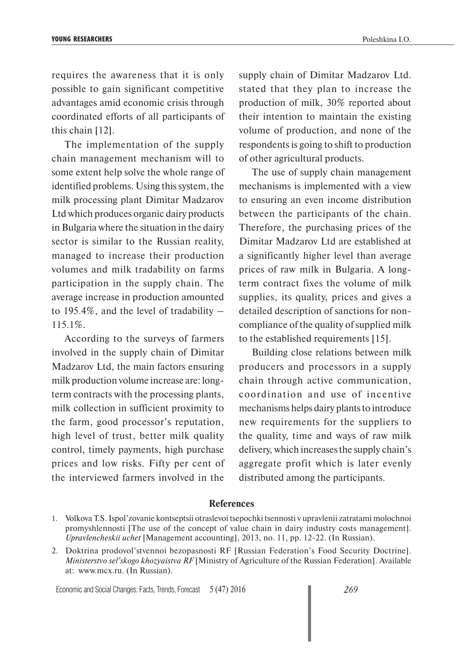requires the awareness that it is only possible to gain significant competitive advantages amid economic crisis through coordinated efforts of all participants of this chain [12].

The implementation of the supply chain management mechanism will to some extent help solve the whole range of identified problems. Using this system, the milk processing plant Dimitar Madzarov Ltd which produces organic dairy products in Bulgaria where the situation in the dairy sector is similar to the Russian reality, managed to increase their production volumes and milk tradability on farms participation in the supply chain. The average increase in production amounted to 195.4%, and the level of tradability – 115.1%.

According to the surveys of farmers involved in the supply chain of Dimitar Madzarov Ltd, the main factors ensuring milk production volume increase are: longterm contracts with the processing plants, milk collection in sufficient proximity to the farm, good processor's reputation, high level of trust, better milk quality control, timely payments, high purchase prices and low risks. Fifty per cent of the interviewed farmers involved in the

supply chain of Dimitar Madzarov Ltd. stated that they plan to increase the production of milk, 30% reported about their intention to maintain the existing volume of production, and none of the respondents is going to shift to production of other agricultural products.

The use of supply chain management mechanisms is implemented with a view to ensuring an even income distribution between the participants of the chain. Therefore, the purchasing prices of the Dimitar Madzarov Ltd are established at a significantly higher level than average prices of raw milk in Bulgaria. A longterm contract fixes the volume of milk supplies, its quality, prices and gives a detailed description of sanctions for noncompliance of the quality of supplied milk to the established requirements [15].

Building close relations between milk producers and processors in a supply chain through active communication, coordination and use of incentive mechanisms helps dairy plants to introduce new requirements for the suppliers to the quality, time and ways of raw milk delivery, which increases the supply chain's aggregate profit which is later evenly distributed among the participants.

#### **References**

Economic and Social Changes: Facts, Trends, Forecast 5 (47) 2016 *269*

<sup>1.</sup> Volkova T.S. Ispol'zovanie kontseptsii otraslevoi tsepochki tsennosti v upravlenii zatratami molochnoi promyshlennosti [The use of the concept of value chain in dairy industry costs management]. *Upravlencheskii uchet* [Management accounting], 2013, no. 11, pp. 12-22. (In Russian).

<sup>2.</sup> Doktrina prodovol'stvennoi bezopasnosti RF [Russian Federation's Food Security Doctrine]. *Ministerstvo sel'skogo khozyaistva RF* [Ministry of Agriculture of the Russian Federation]. Available at: www.mcx.ru. (In Russian).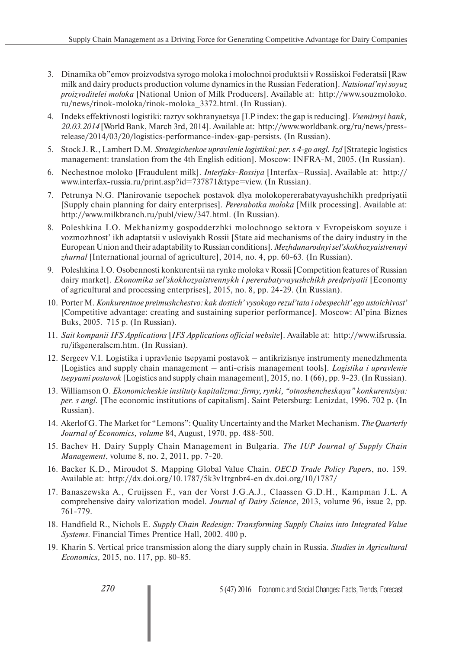- 3. Dinamika ob"emov proizvodstva syrogo moloka i molochnoi produktsii v Rossiiskoi Federatsii [Raw milk and dairy products production volume dynamics in the Russian Federation]. *Natsional'nyi soyuz proizvoditelei moloka* [National Union of Milk Producers]. Available at: http://www.souzmoloko. ru/news/rinok-moloka/rinok-moloka\_3372.html. (In Russian).
- 4. Indeks effektivnosti logistiki: razryv sokhranyaetsya [LP index: the gap is reducing]. *Vsemirnyi bank, 20.03.2014* [World Bank, March 3rd, 2014]. Available at: http://www.worldbank.org/ru/news/pressrelease/2014/03/20/logistics-performance-index-gap-persists. (In Russian).
- 5. Stock J. R., Lambert D.M. *Strategicheskoe upravlenie logistikoi: per. s 4-go angl. Izd* [Strategic logistics management: translation from the 4th English edition]. Moscow: INFRA-M, 2005. (In Russian).
- 6. Nechestnoe moloko [Fraudulent milk]. *Interfaks-Rossiya* [Interfax–Russia]. Available at: http:// www.interfax-russia.ru/print.asp?id=737871&type=view. (In Russian).
- 7. Petrunya N.G. Planirovanie tsepochek postavok dlya molokopererabatyvayushchikh predpriyatii [Supply chain planning for dairy enterprises]. *Pererabotka moloka* [Milk processing]. Available at: http://www.milkbranch.ru/publ/view/347.html. (In Russian).
- 8. Poleshkina I.O. Mekhanizmy gospodderzhki molochnogo sektora v Evropeiskom soyuze i vozmozhnost' ikh adaptatsii v usloviyakh Rossii [State aid mechanisms of the dairy industry in the European Union and their adaptability to Russian conditions]. *Mezhdunarodnyi sel'skokhozyaistvennyi zhurnal* [International journal of agriculture], 2014, no. 4, pp. 60-63. (In Russian).
- 9. Poleshkina I.O. Osobennosti konkurentsii na rynke moloka v Rossii [Competition features of Russian dairy market]. *Ekonomika sel'skokhozyaistvennykh i pererabatyvayushchikh predpriyatii* [Economy of agricultural and processing enterprises], 2015, no. 8, pp. 24-29. (In Russian).
- 10. Porter M. *Konkurentnoe preimushchestvo: kak dostich' vysokogo rezul'tata i obespechit' ego ustoichivost'* [Competitive advantage: creating and sustaining superior performance]. Moscow: Al'pina Biznes Buks, 2005. 715 p. (In Russian).
- 11. *Sait kompanii IFS Applications* [*IFS Applications official website*]. Available at: http://www.ifsrussia. ru/ifsgeneralscm.htm. (In Russian).
- 12. Sergeev V.I. Logistika i upravlenie tsepyami postavok antikrizisnye instrumenty menedzhmenta [Logistics and supply chain management – anti-crisis management tools]. *Logistika i upravlenie tsepyami postavok* [Logistics and supply chain management], 2015, no. 1 (66), pp. 9-23. (In Russian).
- 13. Williamson O. *Ekonomicheskie instituty kapitalizma: firmy, rynki, "otnoshencheskaya" konkurentsiya: per. s angl.* [The economic institutions of capitalism]. Saint Petersburg: Lenizdat, 1996. 702 p. (In Russian).
- 14. Akerlof G. The Market for "Lemons": Quality Uncertainty and the Market Mechanism. *The Quarterly Journal of Economics, volume* 84, August, 1970, pp. 488-500.
- 15. Bachev H. Dairy Supply Chain Management in Bulgaria. *The IUP Journal of Supply Chain Management*, volume 8, no. 2, 2011, pp. 7-20.
- 16. Backer K.D., Miroudot S. Mapping Global Value Chain. *OECD Trade Policy Papers*, no. 159. Available at: http://dx.doi.org/10.1787/5k3v1trgnbr4-en dx.doi.org/10/1787/
- 17. Banaszewska A., Cruijssen F., van der Vorst J.G.A.J., Claassen G.D.H., Kampman J.L. A comprehensive dairy valorization model. *Journal of Dairy Science*, 2013, volume 96, issue 2, pp. 761-779.
- 18. Handfield R., Nichols E. *Supply Chain Redesign: Transforming Supply Chains into Integrated Value Systems*. Financial Times Prentice Hall, 2002. 400 p.
- 19. Kharin S. Vertical price transmission along the diary supply chain in Russia. *Studies in Agricultural Economics,* 2015, no. 117, pp. 80-85.